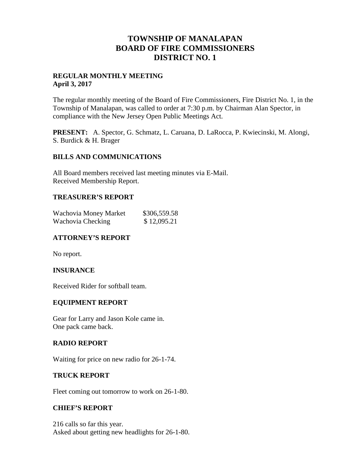# **TOWNSHIP OF MANALAPAN BOARD OF FIRE COMMISSIONERS DISTRICT NO. 1**

### **REGULAR MONTHLY MEETING April 3, 2017**

The regular monthly meeting of the Board of Fire Commissioners, Fire District No. 1, in the Township of Manalapan, was called to order at 7:30 p.m. by Chairman Alan Spector, in compliance with the New Jersey Open Public Meetings Act.

**PRESENT:** A. Spector, G. Schmatz, L. Caruana, D. LaRocca, P. Kwiecinski, M. Alongi, S. Burdick & H. Brager

#### **BILLS AND COMMUNICATIONS**

All Board members received last meeting minutes via E-Mail. Received Membership Report.

#### **TREASURER'S REPORT**

| Wachovia Money Market | \$306,559.58 |
|-----------------------|--------------|
| Wachovia Checking     | \$12,095.21  |

#### **ATTORNEY'S REPORT**

No report.

#### **INSURANCE**

Received Rider for softball team.

#### **EQUIPMENT REPORT**

Gear for Larry and Jason Kole came in. One pack came back.

#### **RADIO REPORT**

Waiting for price on new radio for 26-1-74.

#### **TRUCK REPORT**

Fleet coming out tomorrow to work on 26-1-80.

#### **CHIEF'S REPORT**

216 calls so far this year. Asked about getting new headlights for 26-1-80.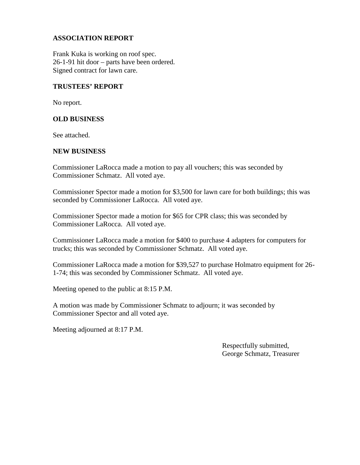## **ASSOCIATION REPORT**

Frank Kuka is working on roof spec. 26-1-91 hit door – parts have been ordered. Signed contract for lawn care.

#### **TRUSTEES' REPORT**

No report.

#### **OLD BUSINESS**

See attached.

#### **NEW BUSINESS**

Commissioner LaRocca made a motion to pay all vouchers; this was seconded by Commissioner Schmatz. All voted aye.

Commissioner Spector made a motion for \$3,500 for lawn care for both buildings; this was seconded by Commissioner LaRocca. All voted aye.

Commissioner Spector made a motion for \$65 for CPR class; this was seconded by Commissioner LaRocca. All voted aye.

Commissioner LaRocca made a motion for \$400 to purchase 4 adapters for computers for trucks; this was seconded by Commissioner Schmatz. All voted aye.

Commissioner LaRocca made a motion for \$39,527 to purchase Holmatro equipment for 26- 1-74; this was seconded by Commissioner Schmatz. All voted aye.

Meeting opened to the public at 8:15 P.M.

A motion was made by Commissioner Schmatz to adjourn; it was seconded by Commissioner Spector and all voted aye.

Meeting adjourned at 8:17 P.M.

Respectfully submitted, George Schmatz, Treasurer